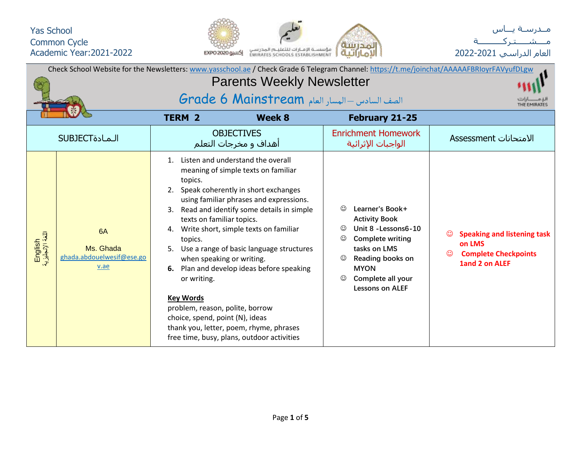



| Check School Website for the Newsletters: www.yasschool.ae / Check Grade 6 Telegram Channel: https://t.me/joinchat/AAAAAFBRIoyrFAVyufDLgw |                                                      |                                                                                                                                                                                                                                 |                                                                                                                                                                                                                                                                                                                                                                                                                                   |                              |                                                                                                                                                                                               |  |                                                                                               |  |  |  |  |  |  |
|-------------------------------------------------------------------------------------------------------------------------------------------|------------------------------------------------------|---------------------------------------------------------------------------------------------------------------------------------------------------------------------------------------------------------------------------------|-----------------------------------------------------------------------------------------------------------------------------------------------------------------------------------------------------------------------------------------------------------------------------------------------------------------------------------------------------------------------------------------------------------------------------------|------------------------------|-----------------------------------------------------------------------------------------------------------------------------------------------------------------------------------------------|--|-----------------------------------------------------------------------------------------------|--|--|--|--|--|--|
|                                                                                                                                           |                                                      | <b>Parents Weekly Newsletter</b>                                                                                                                                                                                                |                                                                                                                                                                                                                                                                                                                                                                                                                                   |                              |                                                                                                                                                                                               |  |                                                                                               |  |  |  |  |  |  |
|                                                                                                                                           |                                                      | الصف السادس – المسار العام Grade 6 Mainstream                                                                                                                                                                                   |                                                                                                                                                                                                                                                                                                                                                                                                                                   |                              |                                                                                                                                                                                               |  |                                                                                               |  |  |  |  |  |  |
|                                                                                                                                           |                                                      | <b>TERM 2</b>                                                                                                                                                                                                                   | Week 8                                                                                                                                                                                                                                                                                                                                                                                                                            |                              | February 21-25                                                                                                                                                                                |  |                                                                                               |  |  |  |  |  |  |
|                                                                                                                                           | <b>SUBJECT</b> الـمـادة                              |                                                                                                                                                                                                                                 | <b>OBJECTIVES</b><br>أهداف و مخرجات التعلم                                                                                                                                                                                                                                                                                                                                                                                        |                              | <b>Enrichment Homework</b><br>الواجبات الإثرائية                                                                                                                                              |  | الامتحانات Assessment                                                                         |  |  |  |  |  |  |
| English<br>اللغة الإنجليزية                                                                                                               | 6A<br>Ms. Ghada<br>ghada.abdouelwesif@ese.go<br>v.ae | $\mathbf{1}$ .<br>topics.<br>2.<br>3.<br>texts on familiar topics.<br>4.<br>topics.<br>5.<br>when speaking or writing.<br>or writing.<br><b>Key Words</b><br>problem, reason, polite, borrow<br>choice, spend, point (N), ideas | Listen and understand the overall<br>meaning of simple texts on familiar<br>Speak coherently in short exchanges<br>using familiar phrases and expressions.<br>Read and identify some details in simple<br>Write short, simple texts on familiar<br>Use a range of basic language structures<br>6. Plan and develop ideas before speaking<br>thank you, letter, poem, rhyme, phrases<br>free time, busy, plans, outdoor activities | $\odot$<br>$\odot$<br>☺<br>☺ | Learner's Book+<br><b>Activity Book</b><br>Unit 8 - Lessons 6-10<br><b>Complete writing</b><br>tasks on LMS<br>Reading books on<br><b>MYON</b><br>Complete all your<br><b>Lessons on ALEF</b> |  | <b>Speaking and listening task</b><br>on LMS<br><b>Complete Checkpoints</b><br>1and 2 on ALEF |  |  |  |  |  |  |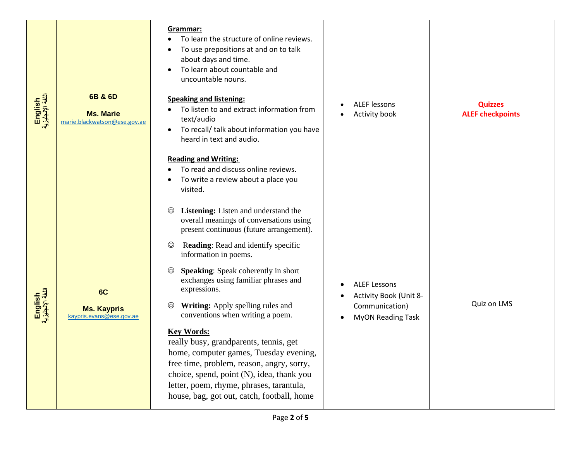| English<br>اللغة الإنجليزية | 6B & 6D<br><b>Ms. Marie</b><br>marie.blackwatson@ese.gov.ae | Grammar:<br>To learn the structure of online reviews.<br>To use prepositions at and on to talk<br>about days and time.<br>To learn about countable and<br>uncountable nouns.<br><b>Speaking and listening:</b><br>To listen to and extract information from<br>text/audio<br>To recall/ talk about information you have<br>heard in text and audio.<br><b>Reading and Writing:</b><br>To read and discuss online reviews.<br>To write a review about a place you<br>visited.                                                                                                                                                                                                                                                | <b>ALEF lessons</b><br>Activity book                                                        | <b>Quizzes</b><br><b>ALEF checkpoints</b> |
|-----------------------------|-------------------------------------------------------------|-----------------------------------------------------------------------------------------------------------------------------------------------------------------------------------------------------------------------------------------------------------------------------------------------------------------------------------------------------------------------------------------------------------------------------------------------------------------------------------------------------------------------------------------------------------------------------------------------------------------------------------------------------------------------------------------------------------------------------|---------------------------------------------------------------------------------------------|-------------------------------------------|
| English<br>اللغة الإنجليزية | 6C<br><b>Ms. Kaypris</b><br>kaypris.evans@ese.gov.ae        | Listening: Listen and understand the<br>$_{\odot}$<br>overall meanings of conversations using<br>present continuous (future arrangement).<br>Reading: Read and identify specific<br>$_{\mathbb{O}}$<br>information in poems.<br><b>Speaking:</b> Speak coherently in short<br>exchanges using familiar phrases and<br>expressions.<br>Writing: Apply spelling rules and<br>$_{\mathbb{O}}$<br>conventions when writing a poem.<br><b>Key Words:</b><br>really busy, grandparents, tennis, get<br>home, computer games, Tuesday evening,<br>free time, problem, reason, angry, sorry,<br>choice, spend, point (N), idea, thank you<br>letter, poem, rhyme, phrases, tarantula,<br>house, bag, got out, catch, football, home | <b>ALEF Lessons</b><br>Activity Book (Unit 8-<br>Communication)<br><b>MyON Reading Task</b> | Quiz on LMS                               |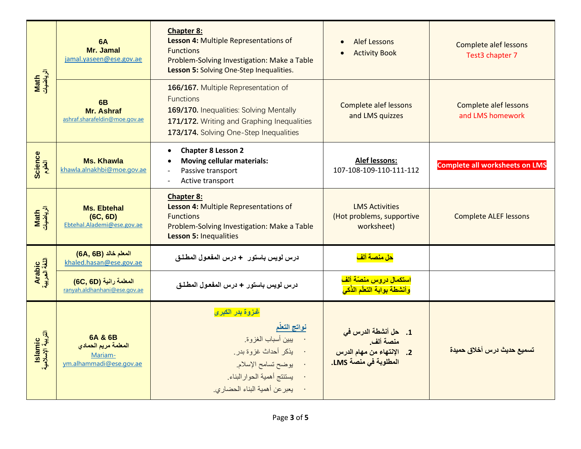|                              | <b>6A</b><br>Mr. Jamal<br>jamal.yaseen@ese.gov.ae                     | <b>Chapter 8:</b><br>Lesson 4: Multiple Representations of<br><b>Functions</b><br>Problem-Solving Investigation: Make a Table<br>Lesson 5: Solving One-Step Inequalities.                  | Alef Lessons<br><b>Activity Book</b>                                                         | <b>Complete alef lessons</b><br>Test3 chapter 7  |
|------------------------------|-----------------------------------------------------------------------|--------------------------------------------------------------------------------------------------------------------------------------------------------------------------------------------|----------------------------------------------------------------------------------------------|--------------------------------------------------|
| الرياضيات<br>Math            | 6B<br><b>Mr. Ashraf</b><br>ashraf.sharafeldin@moe.gov.ae              | 166/167. Multiple Representation of<br><b>Functions</b><br>169/170. Inequalities: Solving Mentally<br>171/172. Writing and Graphing Inequalities<br>173/174. Solving One-Step Inequalities | <b>Complete alef lessons</b><br>and LMS quizzes                                              | <b>Complete alef lessons</b><br>and LMS homework |
| Science<br>الطوم             | <b>Ms. Khawla</b><br>khawla.alnakhbi@moe.gov.ae                       | <b>Chapter 8 Lesson 2</b><br><b>Moving cellular materials:</b><br>Passive transport<br>Active transport                                                                                    | <b>Alef lessons:</b><br>107-108-109-110-111-112                                              | <b>Complete all worksheets on LMS</b>            |
| Math<br>الرياضيات            | <b>Ms. Ebtehal</b><br>(6C, 6D)<br>Ebtehal.Alademi@ese.gov.ae          | <b>Chapter 8:</b><br>Lesson 4: Multiple Representations of<br><b>Functions</b><br>Problem-Solving Investigation: Make a Table<br><b>Lesson 5: Inequalities</b>                             | <b>LMS Activities</b><br>(Hot problems, supportive<br>worksheet)                             | <b>Complete ALEF lessons</b>                     |
|                              | المعلم خالد (6B, 66)<br>khaled.hasan@ese.gov.ae                       | درس لويس باستور + درس المفعول المطلق                                                                                                                                                       | <mark>حل منصة ألف</mark>                                                                     |                                                  |
| Arabic<br>اللغة العربية      | المعلمة رانية (6D, 60)<br>ranyah.aldhanhani@ese.gov.ae                | درس لويس باستور + درس المفعول المطلق                                                                                                                                                       | استكمال دروس منصّة ألف<br>وأنشطة بوابة التعلّم الذّكى                                        |                                                  |
| lslamic<br>التربية الإسلامية | 6A & 6B<br>المعلمة مريم الحمادي<br>Mariam-<br>ym.alhammadi@ese.gov.ae | غزوة بدر الكبرى<br>نواتج التعلم<br>بيبين أسباب الغزوة.<br>يذكر أحداث غزوة بدر .<br>يوضح تسامح الإسلام.<br>يستنتج أهمية الحوار البناء<br>يعبر عن أهمية البناء الحضاري.                      | 1.       حل أنشطة الدرس في<br>منصة ألف<br>2. الإنتهاء من مهام الدرس<br>المطلوبة في منصة LMS. | تسميع حديث درس أخلاق حميدة                       |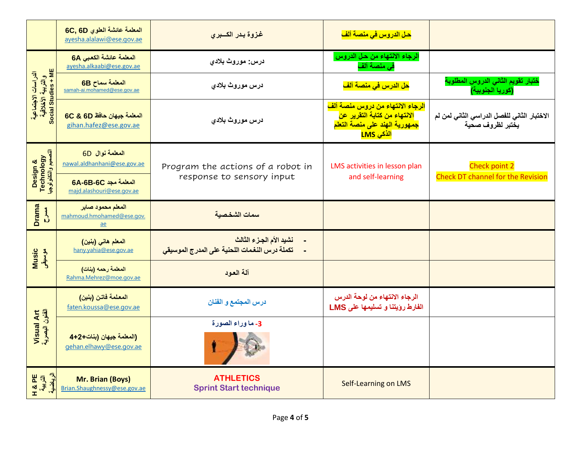|                                                                  | المعلمة عائشة العلوى 6C, 6D<br>ayesha.alalawi@ese.gov.ae | غزوة بدر الكسبرى                                                        | <mark>حل الدروس في منصة ألف</mark>                                                                                          |                                                                 |  |  |  |  |
|------------------------------------------------------------------|----------------------------------------------------------|-------------------------------------------------------------------------|-----------------------------------------------------------------------------------------------------------------------------|-----------------------------------------------------------------|--|--|--|--|
|                                                                  | المعلمة عائشة الكعبي 6A<br>ayesha.alkaabi@ese.gov.ae     | درس: موروث بلادی                                                        | الرجاء الانتهاء من حل الدروس<br>في منصة ألف                                                                                 |                                                                 |  |  |  |  |
|                                                                  | المعلمة سماح 6B<br>samah-ai.mohamed@ese.gov.ae           | درس موروث بلادى                                                         | <mark>حل الدرس في منصبة ألف</mark>                                                                                          | ختبار تقويم الثاني الدروس المطلوبة<br>(كوريا الجنوبية)          |  |  |  |  |
| الدراسات الاجتماعية<br>والتربية الأخلاقية<br>Social Studies + ME | المعلمة جيهان حافظ 6C & 6D<br>gihan.hafez@ese.gov.ae     | درس موروث بلادى                                                         | الرجاء الانتهاء من دروس منصة ألف<br>الانتهاء من كتابة التقرير عن<br>جمهورية الهند على منصة التعلم<br><mark>الذكى LMS</mark> | الاختبار الثاني للفصل الدراسي الثاني لمن لم<br>يختبر لظروف صحية |  |  |  |  |
| Design &<br>Technology<br>التصميم والتكذيلوجيا                   | المعلمة نوال 6D<br>nawal.aldhanhani@ese.gov.ae           | Program the actions of a robot in<br>response to sensory input          | LMS activities in lesson plan<br>and self-learning                                                                          | Check point 2<br><b>Check DT channel for the Revision</b>       |  |  |  |  |
|                                                                  | <b>6A-6B-6C</b> المعلمة مجد<br>majd.alashouri@ese.gov.ae |                                                                         |                                                                                                                             |                                                                 |  |  |  |  |
| <b>Drama</b><br>$\sum_{i=1}^{n}$                                 | المعلم محمود صابر<br>mahmoud.hmohamed@ese.gov.<br>ae     | سمات الشخصبة                                                            |                                                                                                                             |                                                                 |  |  |  |  |
| Music<br>موسيقى                                                  | المعلم هاني (بنين)<br>hany.vahia@ese.gov.ae              | نشيد الأم الجزء الثالث<br>تكملة درس النغمات اللحنية على المدرج الموسيقى |                                                                                                                             |                                                                 |  |  |  |  |
|                                                                  | المعلمة رحمه (بنات)<br>Rahma.Mehrez@moe.gov.ae           | آلة العود                                                               |                                                                                                                             |                                                                 |  |  |  |  |
|                                                                  | المعلمة فاتن (بنين)<br>faten.koussa@ese.gov.ae           | درس المجتمع و الفنان                                                    | الرجاء الانتهاء من لوحة الدرس<br>الفارط رؤيتنا و تسليمها على LMS                                                            |                                                                 |  |  |  |  |
| Visual Art<br>الفئون البصرية                                     | (المعلمة جيهان (بنات+2+4<br>gehan.elhawy@ese.gov.ae      | 3- ما وراء الصورة                                                       |                                                                                                                             |                                                                 |  |  |  |  |
| الرياضية<br><b>PE</b><br>さんだ<br><b>I</b>                         | Mr. Brian (Boys)<br>Brian.Shaughnessy@ese.gov.ae         | <b>ATHLETICS</b><br><b>Sprint Start technique</b>                       | <b>Self-Learning on LMS</b>                                                                                                 |                                                                 |  |  |  |  |